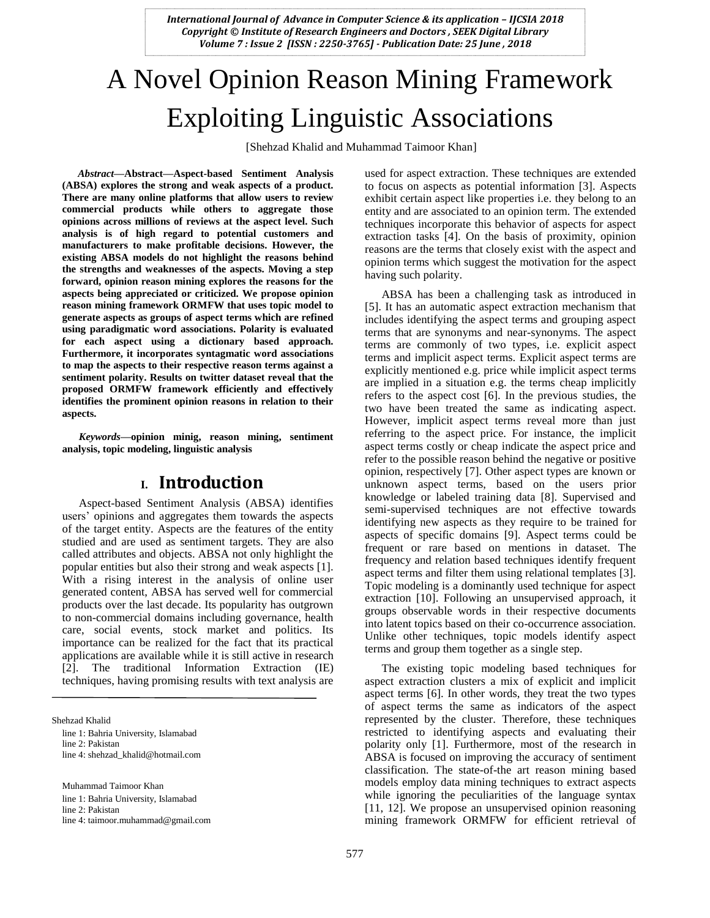# A Novel Opinion Reason Mining Framework Exploiting Linguistic Associations

[Shehzad Khalid and Muhammad Taimoor Khan]

*Abstract***—Abstract—Aspect-based Sentiment Analysis (ABSA) explores the strong and weak aspects of a product. There are many online platforms that allow users to review commercial products while others to aggregate those opinions across millions of reviews at the aspect level. Such analysis is of high regard to potential customers and manufacturers to make profitable decisions. However, the existing ABSA models do not highlight the reasons behind the strengths and weaknesses of the aspects. Moving a step forward, opinion reason mining explores the reasons for the aspects being appreciated or criticized. We propose opinion reason mining framework ORMFW that uses topic model to generate aspects as groups of aspect terms which are refined using paradigmatic word associations. Polarity is evaluated for each aspect using a dictionary based approach. Furthermore, it incorporates syntagmatic word associations to map the aspects to their respective reason terms against a sentiment polarity. Results on twitter dataset reveal that the proposed ORMFW framework efficiently and effectively identifies the prominent opinion reasons in relation to their aspects.**

*Keywords—***opinion minig, reason mining, sentiment analysis, topic modeling, linguistic analysis**

### **I. Introduction**

Aspect-based Sentiment Analysis (ABSA) identifies users' opinions and aggregates them towards the aspects of the target entity. Aspects are the features of the entity studied and are used as sentiment targets. They are also called attributes and objects. ABSA not only highlight the popular entities but also their strong and weak aspects [1]. With a rising interest in the analysis of online user generated content, ABSA has served well for commercial products over the last decade. Its popularity has outgrown to non-commercial domains including governance, health care, social events, stock market and politics. Its importance can be realized for the fact that its practical applications are available while it is still active in research [2]. The traditional Information Extraction (IE) techniques, having promising results with text analysis are

Shehzad Khalid

line 1: Bahria University, Islamabad

line 2: Pakistan

line 4: shehzad\_khalid@hotmail.com

Muhammad Taimoor Khan line 1: Bahria University, Islamabad line 2: Pakistan line 4: taimoor.muhammad@gmail.com used for aspect extraction. These techniques are extended to focus on aspects as potential information [3]. Aspects exhibit certain aspect like properties i.e. they belong to an entity and are associated to an opinion term. The extended techniques incorporate this behavior of aspects for aspect extraction tasks [4]. On the basis of proximity, opinion reasons are the terms that closely exist with the aspect and opinion terms which suggest the motivation for the aspect having such polarity.

ABSA has been a challenging task as introduced in [5]. It has an automatic aspect extraction mechanism that includes identifying the aspect terms and grouping aspect terms that are synonyms and near-synonyms. The aspect terms are commonly of two types, i.e. explicit aspect terms and implicit aspect terms. Explicit aspect terms are explicitly mentioned e.g. price while implicit aspect terms are implied in a situation e.g. the terms cheap implicitly refers to the aspect cost [6]. In the previous studies, the two have been treated the same as indicating aspect. However, implicit aspect terms reveal more than just referring to the aspect price. For instance, the implicit aspect terms costly or cheap indicate the aspect price and refer to the possible reason behind the negative or positive opinion, respectively [7]. Other aspect types are known or unknown aspect terms, based on the users prior knowledge or labeled training data [8]. Supervised and semi-supervised techniques are not effective towards identifying new aspects as they require to be trained for aspects of specific domains [9]. Aspect terms could be frequent or rare based on mentions in dataset. The frequency and relation based techniques identify frequent aspect terms and filter them using relational templates [3]. Topic modeling is a dominantly used technique for aspect extraction [10]. Following an unsupervised approach, it groups observable words in their respective documents into latent topics based on their co-occurrence association. Unlike other techniques, topic models identify aspect terms and group them together as a single step.

The existing topic modeling based techniques for aspect extraction clusters a mix of explicit and implicit aspect terms [6]. In other words, they treat the two types of aspect terms the same as indicators of the aspect represented by the cluster. Therefore, these techniques restricted to identifying aspects and evaluating their polarity only [1]. Furthermore, most of the research in ABSA is focused on improving the accuracy of sentiment classification. The state-of-the art reason mining based models employ data mining techniques to extract aspects while ignoring the peculiarities of the language syntax [11, 12]. We propose an unsupervised opinion reasoning mining framework ORMFW for efficient retrieval of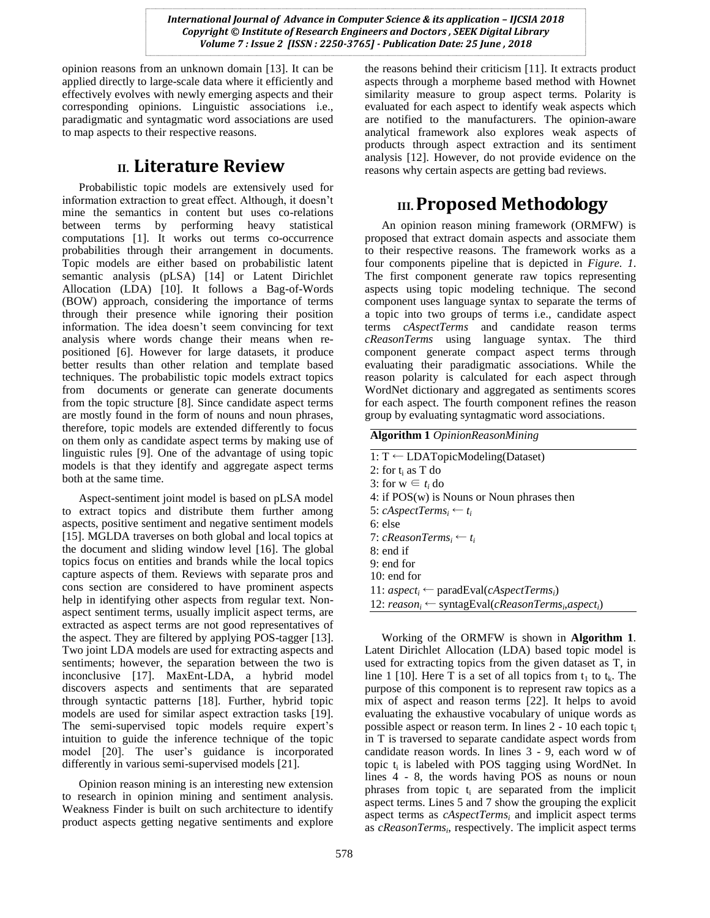opinion reasons from an unknown domain [13]. It can be applied directly to large-scale data where it efficiently and effectively evolves with newly emerging aspects and their corresponding opinions. Linguistic associations i.e., paradigmatic and syntagmatic word associations are used to map aspects to their respective reasons.

## **II. Literature Review**

Probabilistic topic models are extensively used for information extraction to great effect. Although, it doesn't mine the semantics in content but uses co-relations between terms by performing heavy statistical computations [1]. It works out terms co-occurrence probabilities through their arrangement in documents. Topic models are either based on probabilistic latent semantic analysis (pLSA) [14] or Latent Dirichlet Allocation (LDA) [10]. It follows a Bag-of-Words (BOW) approach, considering the importance of terms through their presence while ignoring their position information. The idea doesn't seem convincing for text analysis where words change their means when repositioned [6]. However for large datasets, it produce better results than other relation and template based techniques. The probabilistic topic models extract topics from documents or generate can generate documents from the topic structure [8]. Since candidate aspect terms are mostly found in the form of nouns and noun phrases, therefore, topic models are extended differently to focus on them only as candidate aspect terms by making use of linguistic rules [9]. One of the advantage of using topic models is that they identify and aggregate aspect terms both at the same time.

Aspect-sentiment joint model is based on pLSA model to extract topics and distribute them further among aspects, positive sentiment and negative sentiment models [15]. MGLDA traverses on both global and local topics at the document and sliding window level [16]. The global topics focus on entities and brands while the local topics capture aspects of them. Reviews with separate pros and cons section are considered to have prominent aspects help in identifying other aspects from regular text. Nonaspect sentiment terms, usually implicit aspect terms, are extracted as aspect terms are not good representatives of the aspect. They are filtered by applying POS-tagger [13]. Two joint LDA models are used for extracting aspects and sentiments; however, the separation between the two is inconclusive [17]. MaxEnt-LDA, a hybrid model discovers aspects and sentiments that are separated through syntactic patterns [18]. Further, hybrid topic models are used for similar aspect extraction tasks [19]. The semi-supervised topic models require expert's intuition to guide the inference technique of the topic model [20]. The user's guidance is incorporated differently in various semi-supervised models [21].

Opinion reason mining is an interesting new extension to research in opinion mining and sentiment analysis. Weakness Finder is built on such architecture to identify product aspects getting negative sentiments and explore the reasons behind their criticism [11]. It extracts product aspects through a morpheme based method with Hownet similarity measure to group aspect terms. Polarity is evaluated for each aspect to identify weak aspects which are notified to the manufacturers. The opinion-aware analytical framework also explores weak aspects of products through aspect extraction and its sentiment analysis [12]. However, do not provide evidence on the reasons why certain aspects are getting bad reviews.

# **III.Proposed Methodology**

An opinion reason mining framework (ORMFW) is proposed that extract domain aspects and associate them to their respective reasons. The framework works as a four components pipeline that is depicted in *Figure. 1*. The first component generate raw topics representing aspects using topic modeling technique. The second component uses language syntax to separate the terms of a topic into two groups of terms i.e., candidate aspect terms *cAspectTerms* and candidate reason terms *cReasonTerms* using language syntax. The third component generate compact aspect terms through evaluating their paradigmatic associations. While the reason polarity is calculated for each aspect through WordNet dictionary and aggregated as sentiments scores for each aspect. The fourth component refines the reason group by evaluating syntagmatic word associations.

**Algorithm 1** *OpinionReasonMining*

1: T ← LDATopicModeling(Dataset) 2: for  $t_i$  as T do 3: for  $w \in t_i$  do 4: if POS(w) is Nouns or Noun phrases then 5:  $cAspectTerms_i \leftarrow t_i$ 6: else 7:  $cReasonTerms_i \leftarrow t_i$ 8: end if 9: end for 10: end for 11: *aspect<sup>i</sup>* ← paradEval(*cAspectTermsi*) 12: *reason<sup>i</sup>* ← syntagEval(*cReasonTerms<sup>i</sup>* ,*aspecti*)

Working of the ORMFW is shown in **Algorithm 1**. Latent Dirichlet Allocation (LDA) based topic model is used for extracting topics from the given dataset as T, in line 1 [10]. Here T is a set of all topics from  $t_1$  to  $t_k$ . The purpose of this component is to represent raw topics as a mix of aspect and reason terms [22]. It helps to avoid evaluating the exhaustive vocabulary of unique words as possible aspect or reason term. In lines  $2 - 10$  each topic  $t_i$ in T is traversed to separate candidate aspect words from candidate reason words. In lines 3 - 9, each word w of topic  $t_i$  is labeled with POS tagging using WordNet. In lines 4 - 8, the words having POS as nouns or noun phrases from topic  $t_i$  are separated from the implicit aspect terms. Lines 5 and 7 show the grouping the explicit aspect terms as *cAspectTerms<sup>i</sup>* and implicit aspect terms as *cReasonTerms<sub>i</sub>*, respectively. The implicit aspect terms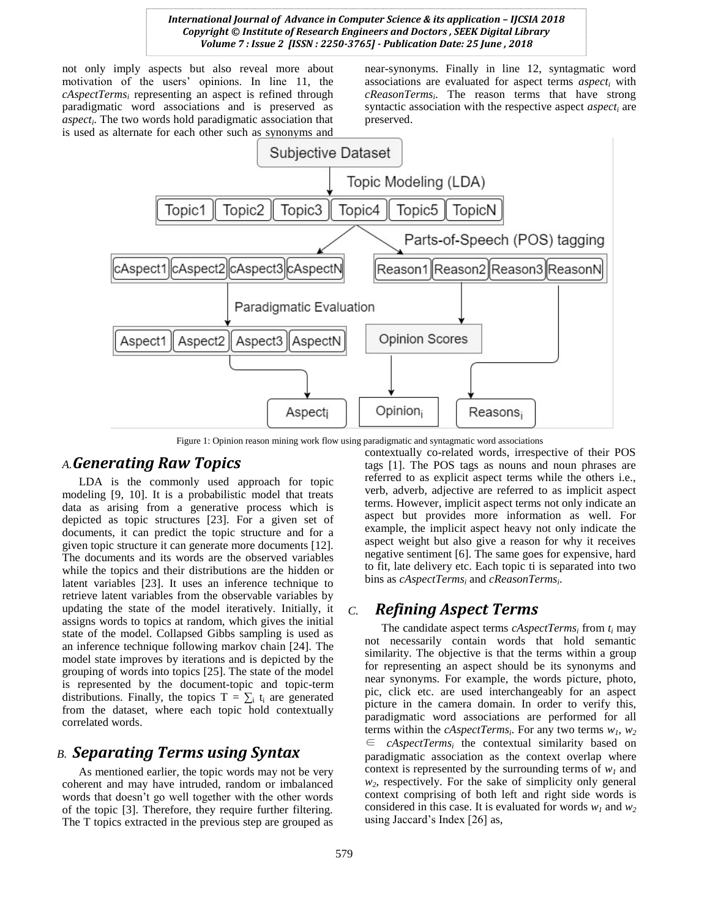not only imply aspects but also reveal more about motivation of the users' opinions. In line 11, the *cAspectTerms<sup>i</sup>* representing an aspect is refined through paradigmatic word associations and is preserved as *aspect<sup>i</sup>* . The two words hold paradigmatic association that is used as alternate for each other such as synonyms and

near-synonyms. Finally in line 12, syntagmatic word associations are evaluated for aspect terms *aspect<sup>i</sup>* with *cReasonTerms<sup>i</sup>* . The reason terms that have strong syntactic association with the respective aspect *aspect*<sub>*i*</sub> are preserved.



Figure 1: Opinion reason mining work flow using paradigmatic and syntagmatic word associations

#### *A.Generating Raw Topics*

LDA is the commonly used approach for topic modeling [9, 10]. It is a probabilistic model that treats data as arising from a generative process which is depicted as topic structures [23]. For a given set of documents, it can predict the topic structure and for a given topic structure it can generate more documents [12]. The documents and its words are the observed variables while the topics and their distributions are the hidden or latent variables [23]. It uses an inference technique to retrieve latent variables from the observable variables by updating the state of the model iteratively. Initially, it assigns words to topics at random, which gives the initial state of the model. Collapsed Gibbs sampling is used as an inference technique following markov chain [24]. The model state improves by iterations and is depicted by the grouping of words into topics [25]. The state of the model is represented by the document-topic and topic-term distributions. Finally, the topics  $T = \sum_i t_i$  are generated from the dataset, where each topic hold contextually correlated words.

#### *B. Separating Terms using Syntax*

As mentioned earlier, the topic words may not be very coherent and may have intruded, random or imbalanced words that doesn't go well together with the other words of the topic [3]. Therefore, they require further filtering. The T topics extracted in the previous step are grouped as contextually co-related words, irrespective of their POS tags [1]. The POS tags as nouns and noun phrases are referred to as explicit aspect terms while the others i.e., verb, adverb, adjective are referred to as implicit aspect terms. However, implicit aspect terms not only indicate an aspect but provides more information as well. For example, the implicit aspect heavy not only indicate the aspect weight but also give a reason for why it receives negative sentiment [6]. The same goes for expensive, hard to fit, late delivery etc. Each topic ti is separated into two bins as *cAspectTerms<sup>i</sup>* and *cReasonTerms<sup>i</sup>* .

#### *C. Refining Aspect Terms*

The candidate aspect terms *cAspectTerms<sup>i</sup>* from *t<sup>i</sup>* may not necessarily contain words that hold semantic similarity. The objective is that the terms within a group for representing an aspect should be its synonyms and near synonyms. For example, the words picture, photo, pic, click etc. are used interchangeably for an aspect picture in the camera domain. In order to verify this, paradigmatic word associations are performed for all terms within the *cAspectTerms<sup>i</sup>* . For any two terms *w1, w<sup>2</sup>* ∈ *cAspectTerms<sup>i</sup>* the contextual similarity based on paradigmatic association as the context overlap where context is represented by the surrounding terms of  $w<sub>1</sub>$  and *w2*, respectively. For the sake of simplicity only general context comprising of both left and right side words is considered in this case. It is evaluated for words  $w_1$  and  $w_2$ using Jaccard's Index [26] as,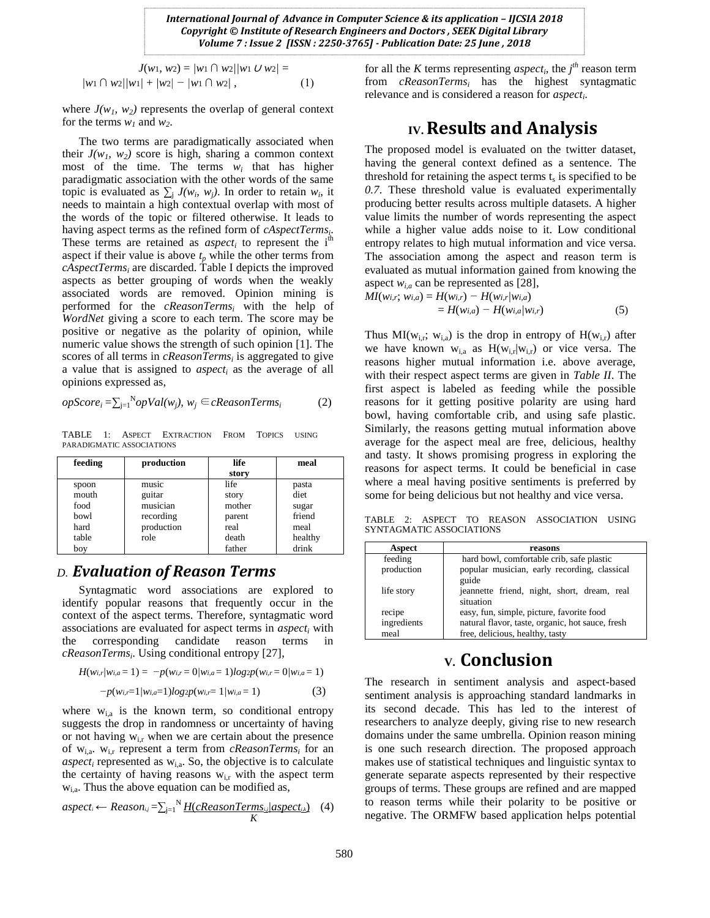$$
J(w_1, w_2) = |w_1 \cap w_2| / |w_1 \cup w_2| =
$$
  
\n
$$
|w_1 \cap w_2| / |w_1| + |w_2| - |w_1 \cap w_2|,
$$
 (1)

where  $J(w_1, w_2)$  represents the overlap of general context for the terms  $w_1$  and  $w_2$ .

The two terms are paradigmatically associated when their  $J(w_1, w_2)$  score is high, sharing a common context most of the time. The terms  $w_i$  that has higher paradigmatic association with the other words of the same topic is evaluated as  $\sum_{i} J(w_i, w_j)$ . In order to retain  $w_i$ , it needs to maintain a high contextual overlap with most of the words of the topic or filtered otherwise. It leads to having aspect terms as the refined form of *cAspectTerms<sup>i</sup>* . These terms are retained as  $aspect<sub>i</sub>$  to represent the i<sup>th</sup> aspect if their value is above  $t_p$  while the other terms from *cAspectTerms<sup>i</sup>* are discarded. Table I depicts the improved aspects as better grouping of words when the weakly associated words are removed. Opinion mining is performed for the *cReasonTerms<sup>i</sup>* with the help of *WordNet* giving a score to each term. The score may be positive or negative as the polarity of opinion, while numeric value shows the strength of such opinion [1]. The scores of all terms in *cReasonTerms<sup>i</sup>* is aggregated to give a value that is assigned to *aspect<sup>i</sup>* as the average of all opinions expressed as,

$$
opScore_i = \sum_{j=1}^{N} opVal(w_j), w_j \in cReasonTerms_i
$$
 (2)

TABLE 1: ASPECT EXTRACTION FROM TOPICS USING PARADIGMATIC ASSOCIATIONS

| feeding | production | life   | meal    |
|---------|------------|--------|---------|
|         |            | story  |         |
| spoon   | music      | life   | pasta   |
| mouth   | guitar     | story  | diet    |
| food    | musician   | mother | sugar   |
| bowl    | recording  | parent | friend  |
| hard    | production | real   | meal    |
| table   | role       | death  | healthy |
| boy     |            | father | drink   |

## *D. Evaluation of Reason Terms*

Syntagmatic word associations are explored to identify popular reasons that frequently occur in the context of the aspect terms. Therefore, syntagmatic word associations are evaluated for aspect terms in *aspect<sup>i</sup>* with the corresponding candidate reason terms in *cReasonTerms<sup>i</sup>* . Using conditional entropy [27],

$$
H(w_{i,r}/w_{i,a} = 1) = -p(w_{i,r} = 0/w_{i,a} = 1)log 2p(w_{i,r} = 0/w_{i,a} = 1)
$$

 *−p*(*wi,r*=1*|wi,a*=1)*log*2*p*(*wi,r*= 1*|wi,a* = 1) (3)

where  $w_{i,a}$  is the known term, so conditional entropy suggests the drop in randomness or uncertainty of having or not having  $w_{i,r}$  when we are certain about the presence of wi,a. wi,r represent a term from *cReasonTerms<sup>i</sup>* for an  $aspect_i$  represented as  $w_{i,a}$ . So, the objective is to calculate the certainty of having reasons  $w_{i,r}$  with the aspect term  $w_{i,a}$ . Thus the above equation can be modified as,

$$
aspect_i \leftarrow Reason_{ij} = \sum_{j=1}^{N} \underbrace{H(cReasonTerms_{ij} / aspect_{i,k})}_{K} \quad (4)
$$

for all the *K* terms representing *aspect<sub>i</sub>*, the  $j<sup>th</sup>$  reason term from *cReasonTerms<sup>i</sup>* has the highest syntagmatic relevance and is considered a reason for *aspect<sup>i</sup>* .

## **IV.Results and Analysis**

The proposed model is evaluated on the twitter dataset, having the general context defined as a sentence. The threshold for retaining the aspect terms  $t_s$  is specified to be *0.7*. These threshold value is evaluated experimentally producing better results across multiple datasets. A higher value limits the number of words representing the aspect while a higher value adds noise to it. Low conditional entropy relates to high mutual information and vice versa. The association among the aspect and reason term is evaluated as mutual information gained from knowing the aspect  $w_{i,a}$  can be represented as [28],

$$
MI(w_i,; w_{i,a}) = H(w_i, -H(w_i, |w_{i,a})
$$
  
=  $H(w_{i,a}) - H(w_{i,a}|w_{i,r})$  (5)

Thus  $MI(w_{i,r}; w_{i,a})$  is the drop in entropy of  $H(w_{i,r})$  after we have known  $w_{i,a}$  as  $H(w_{i,r}|w_{i,r})$  or vice versa. The reasons higher mutual information i.e. above average, with their respect aspect terms are given in *Table II*. The first aspect is labeled as feeding while the possible reasons for it getting positive polarity are using hard bowl, having comfortable crib, and using safe plastic. Similarly, the reasons getting mutual information above average for the aspect meal are free, delicious, healthy and tasty. It shows promising progress in exploring the reasons for aspect terms. It could be beneficial in case where a meal having positive sentiments is preferred by some for being delicious but not healthy and vice versa.

TABLE 2: ASPECT TO REASON ASSOCIATION USING SYNTAGMATIC ASSOCIATIONS

| Aspect      | reasons                                          |  |
|-------------|--------------------------------------------------|--|
| feeding     | hard bowl, comfortable crib, safe plastic        |  |
| production  | popular musician, early recording, classical     |  |
|             | guide                                            |  |
| life story  | jeannette friend, night, short, dream, real      |  |
|             | situation                                        |  |
| recipe      | easy, fun, simple, picture, favorite food        |  |
| ingredients | natural flavor, taste, organic, hot sauce, fresh |  |
| meal        | free, delicious, healthy, tasty                  |  |

## **V. Conclusion**

The research in sentiment analysis and aspect-based sentiment analysis is approaching standard landmarks in its second decade. This has led to the interest of researchers to analyze deeply, giving rise to new research domains under the same umbrella. Opinion reason mining is one such research direction. The proposed approach makes use of statistical techniques and linguistic syntax to generate separate aspects represented by their respective groups of terms. These groups are refined and are mapped to reason terms while their polarity to be positive or negative. The ORMFW based application helps potential